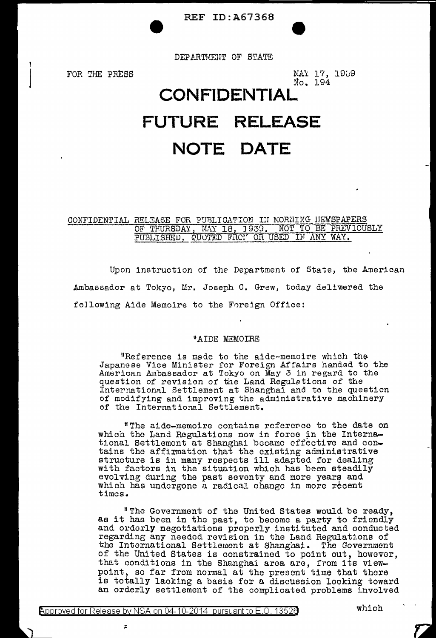

DEPARTMENT OF STATE

FOR THE PRESS

MAY 17, 1959 No. 194

## **CONFIDENTIAL FUTURE RELEASE NOTE DATE**

CONFIDENTIAL RELEASE FOR PUBLICATION IN MORNING HEWSPAPERS OF THURSDAY, MAY 18, 1933. NOT TO BE PREVIOUSLY PUBLISHED, QUOTED FROM OR USED IN ANY WAY.

Upon instruction of the Department of State, the American Ambassador at Tokyo, Mr. Joseph C. Grew, today delivered the following Aide Memoire to the Foreign Office:

## "AIDE MEMOIRE

"Reference is made to the aide-memoire which the Japanese Vice Minister for Foreign Affairs handed to the American Ambassador at Tokyo on May 3 in regard to the question of revision of the Land Regulations of the International Settlement at Shanghai and to the question of modifying and improving the administrative machinery of the International Settlement.

"The aide-memoire contains roferericc to the date on which the Land Regulations now in force in the International Settlement at Shanghai became effective and contains the affirmation that the existing administrative structure is in many respects ill adapted for dealing with factors in the situation which has been steadily evolving during the pa.st seventy and more years and evolving during the past seventy and more years and which has undergone a radical change in more recent times.

"The Government of the United States would be ready,<br>as it has been in the past, to become a party to friendly as it has been in the past, to become a party to friendly<br>as it has been in the past, to become a party to friendly<br>and orderly negotiations properly instituted and conducted regardins any needed revision in the Land Regulations of the International Settlement at Shanghai. The Government of the United States is constrained to point out, however, that conditions in the Shanghai area are, from its viewpoint, so far from normal at the present time that there is totally lacking a basis for a discussion looking toward an orderly settlement of the complicated problems involved

 $\bar{z}$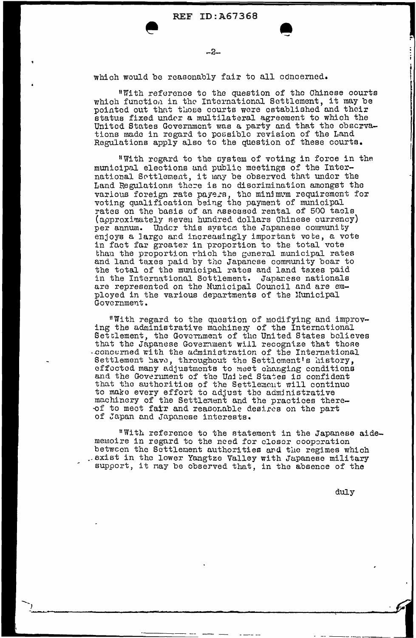**REF ID: A67368** 

 $-2-$ 

which would be reasonably fair to all concerned.

"With reference to the question of the Chinese courts which function in the International Settlement, it may be pointed out that those courts were established and their status fixed under a multilateral agreement to which the United States Government was a party and that the observations made in regard to possible revision of the Land Regulations apply also to the question of these courts.

"With regard to the system of voting in force in the municipal elections and public meetings of the International Settlement, it may be observed that under the Land Regulations there is no discrimination amongst the various foreign rate payers, the minimum requirement for voting qualification being the payment of municipal rates on the basis of an assessed rental of 500 tacls (approximately seven hundred dollars Chinese currency) per annum. Under this system the Japanese community enjoys a large and increasingly important vote, a vote in fact far greater in proportion to the total vote than the proportion which the general municipal rates and land taxes paid by the Japanese community bear to the total of the municipal rates and land taxes paid in the International Settlement. Japanese nationals are represented on the Municipal Council and are employed in the various departments of the Municipal Government.

"With regard to the question of modifying and improving the administrative machinery of the International Settlement, the Government of the United States believes<br>that the Japanese Government will recognize that those concerned with the administration of the International Settlement have, throughout the Settlement's history, effected many adjustments to meet changing conditions and the Government of the United States is confident that the authorities of the Settlement will continue to make every effort to adjust the administrative<br>machinery of the Settlement and the practices thereof to meet fair and reasonable desires on the part of Japan and Japanese interests.

"With reference to the statement in the Japanese aidememoire in regard to the need for closer cooperation between the Settlement authorities and the regimes which exist in the lower Yangtze Valley with Japanese military. support, it may be observed that, in the absence of the

duly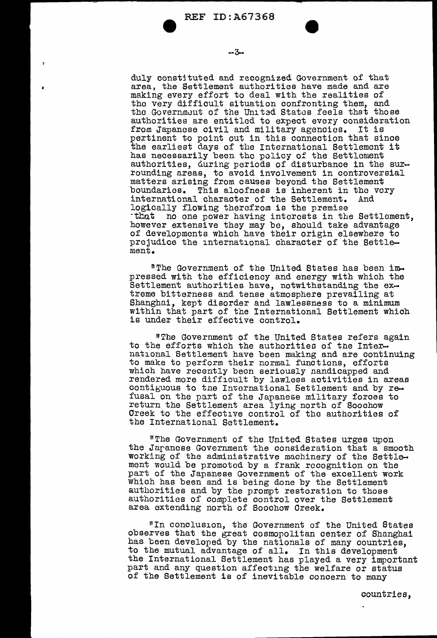-3-

duly constituted and recognized Government of that area, the Settlement authorities have made and are making every effort to deal with the realities of the very difficult situation confronting them, and the Government of the Umited States feels that those authorities are entitled to expect every consideration from Japanese civil and military agencies. It is from Japanese civil and military agencies. pertinent to point out in this connection that since the earliest days of the International Settlement it has necessarily been the policy of the Settlement authorities, during periods of disturbance in the surrounding areas, to avoid involvement in controversial matters arising from causes beyond the Settlement boundaries. This aloofness is inherent in the very international character of the Settlement. And international character of the Settlement. logically flowing therefrom is the premise ·that no one power having interests in the Settlement, however extensive they may bo, should take advantage of developments which have their origin elsewhere to prejudice the international character of the Settler.aent.

"The Government of the United States has been impressed with the efficiency and energy with which the Settlement authorities have, notwithstanding the extreme bitterness and tense atmosphere prevailing at Shanghai, kept disorder and lawlessness to a minimum within that part of the International Settlement which is under their effective control.

"The Government of the United States refers again to the efforts which the authorities of the International Settlement have been making and are continuing to make to perform their normal functions, efforts which have recently been seriously nandicapped and rendered more difficult by lawless activities in areas contiguous to the International Settlement and by refusal on the paxt of the Japanese military forces to return the Settlement area lying north of Soochow Creek to the effective control of the authorities of the International Settlement.

<sup>11</sup> Tlle Government of the United States urges upon the Jarancse Government the consideration that a smooth working of the administrative machinery of the Settlement would be promoted by a frank recognition on the part of the Japanese Government of the excellent work which has been and is being done by the Settlement authorities and by the prompt restoration to those authorities of complete control over the Settlement area extending north of Soochow Creek.

"In conclusion, the Government of the United States observes that the great cosmopolitan center of Shanghai has been developed by the nationals of many countries, to the mutual advantage of all. In this development the International Settlement has played a very important part and any question affecting the welfare or status of the Settlement is of inevitable concern to many

countries,